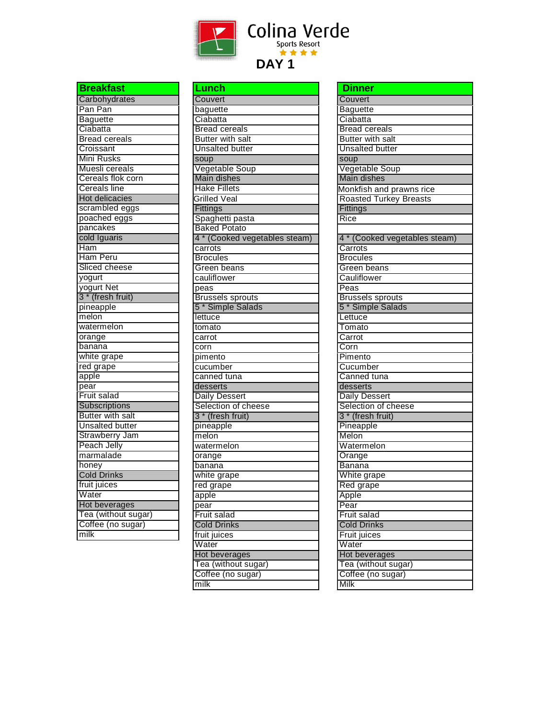

| <b>Breakfast</b>             |
|------------------------------|
| Carbohydrates                |
| Pan Pan                      |
| Baguette                     |
| Ciabatta                     |
| <b>Bread cereals</b>         |
| Croissant                    |
| Mini Rusks                   |
| Muesli cereals               |
| Cereals flok corn            |
| <b>Cereals line</b>          |
| <b>Hot delicacies</b>        |
| scrambled eggs               |
| poached eggs                 |
| pancakes                     |
| cold Iguaris                 |
| Ham                          |
| Ham Peru                     |
| Sliced cheese                |
| yogurt                       |
| yogurt Net                   |
| 3 <sup>*</sup> (fresh fruit) |
| pineapple                    |
| melon                        |
| watermelon                   |
| orange                       |
| banana                       |
| white grape                  |
| red grape                    |
| apple                        |
| pear                         |
| Fruit salad                  |
| Subscriptions                |
| <b>Butter with salt</b>      |
| <b>Unsalted butter</b>       |
| Strawberry Jam               |
| Peach Jelly                  |
| marmalade                    |
| honey                        |
| <b>Cold Drinks</b>           |
| fruit juices                 |
| Water                        |
| Hot beverages                |
| Tea (without sugar)          |
| Coffee (no sugar)            |
| milk                         |
|                              |

| Lunch                                                   |
|---------------------------------------------------------|
| Couvert                                                 |
| baguette                                                |
| Ciabatta                                                |
| <b>Bread cereals</b>                                    |
| <b>Butter with salt</b>                                 |
| <b>Unsalted butter</b>                                  |
| soup                                                    |
| Vegetable Soup                                          |
| Main dishes                                             |
| <b>Hake Fillets</b>                                     |
| Grilled Veal                                            |
| Fittings                                                |
| Spaghetti pasta                                         |
| <b>Baked Potato</b>                                     |
| 4 * (Cooked vegetables steam)                           |
| carrots                                                 |
| <b>Brocules</b>                                         |
| Green beans                                             |
| cauliflower                                             |
|                                                         |
| peas                                                    |
| <b>Brussels sprouts</b><br>5 <sup>*</sup> Simple Salads |
|                                                         |
| lettuce                                                 |
| tomato                                                  |
| carrot                                                  |
| corn                                                    |
| pimento                                                 |
| cucumber                                                |
| canned tuna                                             |
| desserts                                                |
| <b>Daily Dessert</b>                                    |
| Selection of cheese                                     |
| 3 * (fresh fruit)                                       |
| pineapple                                               |
| melon                                                   |
| watermelon                                              |
| orange                                                  |
| banana                                                  |
| white grape                                             |
| red grape                                               |
| apple                                                   |
| pear                                                    |
| Fruit salad                                             |
| <b>Cold Drinks</b>                                      |
| fruit juices                                            |
| Water                                                   |
| Hot beverages                                           |
| Tea (without sugar)                                     |
| Coffee (no sugar)                                       |
| milk                                                    |
|                                                         |

| <b>Dinner</b>                 |
|-------------------------------|
| Couvert                       |
| <b>Baguette</b>               |
| Ciabatta                      |
| <b>Bread cereals</b>          |
| <b>Butter with salt</b>       |
| <b>Unsalted butter</b>        |
| soup                          |
| Vegetable Soup                |
| Main dishes                   |
| Monkfish and prawns rice      |
| <b>Roasted Turkey Breasts</b> |
| Fittings                      |
| Rice                          |
|                               |
| 4 * (Cooked vegetables steam) |
| Carrots                       |
| <b>Brocules</b>               |
| Green beans                   |
| Cauliflower                   |
| Peas                          |
| <b>Brussels sprouts</b>       |
| 5 <sup>*</sup> Simple Salads  |
| Lettuce                       |
| Tomato                        |
| Carrot                        |
| Corn                          |
| Pimento                       |
| Cucumber                      |
| Canned tuna                   |
| desserts                      |
| <b>Daily Dessert</b>          |
| Selection of cheese           |
| 3 * (fresh fruit)             |
| Pineapple                     |
| Melon                         |
| Watermelon                    |
| Orange                        |
| <b>Banana</b>                 |
| White grape                   |
| Red grape                     |
| Apple                         |
| Pear                          |
| Fruit salad                   |
| <b>Cold Drinks</b>            |
| <b>Fruit juices</b>           |
| Water                         |
| Hot beverages                 |
| Tea (without sugar)           |
| Coffee (no sugar)             |
| Milk                          |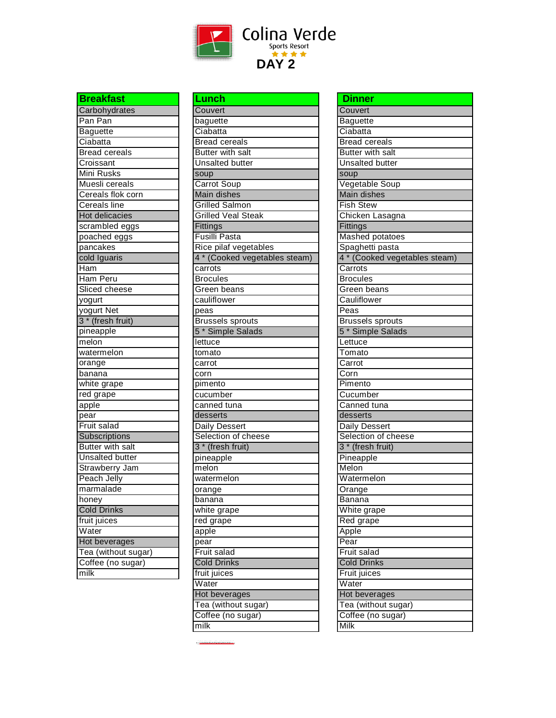

| <b>Breakfast</b>                  |
|-----------------------------------|
| Carbohydrates                     |
| Pan Pan                           |
| <b>Baguette</b>                   |
| Ciabatta                          |
| <b>Bread cereals</b>              |
| Croissant                         |
| Mini Rusks                        |
| Muesli cereals                    |
|                                   |
| Cereals flok corn<br>Cereals line |
| <b>Hot delicacies</b>             |
| scrambled eggs                    |
| poached eggs                      |
| pancakes                          |
| cold Iguaris                      |
| Ham                               |
| Ham Peru                          |
| Sliced cheese                     |
| yogurt                            |
| yogurt Net                        |
| $3*$<br>(fresh fruit)             |
| pineapple                         |
| $m$ elon                          |
| watermelon                        |
| orange                            |
| $\mathrm{\overline{b}}$ anana     |
| white grape                       |
| red grape                         |
| apple                             |
| pear                              |
| Fruit salad                       |
| Subscriptions                     |
| <b>Butter with salt</b>           |
| <b>Unsalted butter</b>            |
| Strawberry Jam                    |
| <b>Peach Jelly</b>                |
| marmalade                         |
| honey                             |
| <b>Cold Drinks</b>                |
| fruit juices                      |
| Water                             |
| Hot beverages                     |
| Tea (without sugar)               |
| Coffee (no sugar)                 |
| $\overline{\mathsf{m}}$ ilk       |
|                                   |

| Lunch                         |
|-------------------------------|
| Couvert                       |
| baguette                      |
| Ciabatta                      |
| <b>Bread cereals</b>          |
| <b>Butter with salt</b>       |
| <b>Unsalted butter</b>        |
| soup                          |
| Carrot Soup                   |
| Main dishes                   |
| <b>Grilled Salmon</b>         |
| <b>Grilled Veal Steak</b>     |
| Fittings                      |
| <b>Fusilli Pasta</b>          |
| Rice pilaf vegetables         |
| 4 * (Cooked vegetables steam) |
| carrots                       |
| <b>Brocules</b>               |
| Green beans                   |
| cauliflower                   |
| peas                          |
| <b>Brussels sprouts</b>       |
| 5 <sup>*</sup> Simple Salads  |
| lettuce                       |
| tomato                        |
|                               |
| carrot<br>corn                |
| pimento                       |
| cucumber                      |
| canned tuna                   |
|                               |
| desserts                      |
| Daily Dessert                 |
| Selection of cheese           |
| 3 * (fresh fruit)             |
| pineapple                     |
| melon                         |
| watermelon                    |
| orange                        |
| banana                        |
| white grape                   |
| red grape                     |
| apple                         |
| pear                          |
| Fruit salad                   |
| <b>Cold Drinks</b>            |
| fruit juices                  |
| Water                         |
| Hot beverages                 |
| Tea (without sugar)           |
| Coffee (no sugar)             |
| milk                          |

| <b>Dinner</b>                 |
|-------------------------------|
| Couvert                       |
| <b>Baguette</b>               |
| Ciabatta                      |
| <b>Bread cereals</b>          |
| <b>Butter with salt</b>       |
| <b>Unsalted butter</b>        |
| soup                          |
| Vegetable Soup                |
| Main dishes                   |
| <b>Fish Stew</b>              |
| Chicken Lasagna               |
| Fittings                      |
| <b>Mashed potatoes</b>        |
| Spaghetti pasta               |
| 4 * (Cooked vegetables steam) |
| Carrots                       |
| <b>Brocules</b>               |
| Green beans                   |
| Cauliflower                   |
| Peas                          |
| <b>Brussels sprouts</b>       |
| 5 <sup>*</sup> Simple Salads  |
| Lettuce                       |
| Tomato                        |
| Carrot                        |
| $\overline{\text{Corn}}$      |
| Pimento                       |
| Cucumber                      |
| Canned tuna                   |
| desserts                      |
| Daily Dessert                 |
| Selection of cheese           |
| 3 <sup>*</sup> (fresh fruit)  |
| Pineapple                     |
| Melon                         |
| Watermelon                    |
| Orange                        |
| <b>Banana</b>                 |
| White grape                   |
| Red grape                     |
| Apple                         |
| Pear                          |
| Fruit salad                   |
| <b>Cold Drinks</b>            |
| Fruit juices                  |
| Water                         |
| Hot beverages                 |
| Tea (without sugar)           |
| Coffee (no sugar)             |
| Milk                          |
|                               |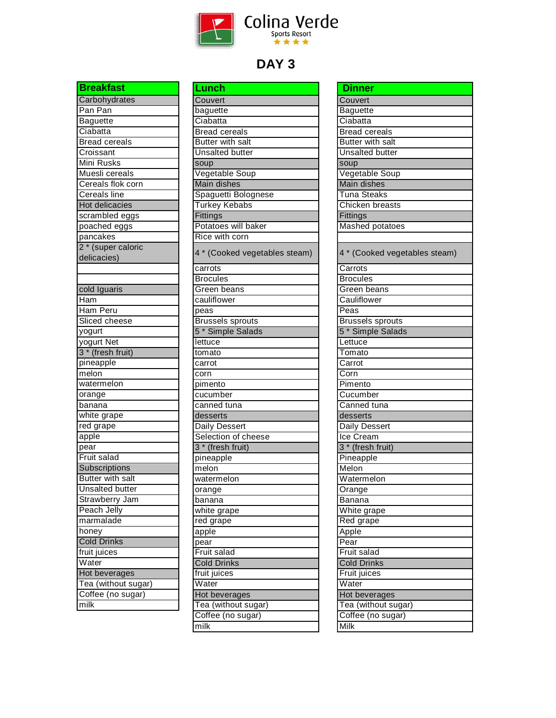

| <b>Breakfast</b>        |
|-------------------------|
| Carbohydrates           |
| Pan Pan                 |
| <b>Baguette</b>         |
| Ciabatta                |
| <b>Bread cereals</b>    |
| Croissant               |
| <b>Mini Rusks</b>       |
| Muesli cereals          |
| Cereals flok corn       |
| Cereals line            |
| <b>Hot delicacies</b>   |
| scrambled eggs          |
| poached eggs            |
| pancakes                |
| 2 * (super caloric      |
| delicacies)             |
|                         |
|                         |
| cold Iguaris            |
| Ham                     |
| Ham Peru                |
| Sliced cheese           |
| yogurt                  |
| yogurt Net              |
| 3 * (fresh fruit)       |
| pineapple               |
| melon                   |
| watermelon              |
| orange                  |
| banana                  |
| white grape             |
| red grape               |
| apple                   |
| pear                    |
| Fruit salad             |
| Subscriptions           |
| <b>Butter with salt</b> |
| <b>Unsalted butter</b>  |
| Strawberry Jam          |
| Peach Jelly             |
| marmalade               |
| honey                   |
| <b>Cold Drinks</b>      |
| fruit juices            |
| Water                   |
| Hot beverages           |
| Tea (without sugar)     |
| Coffee (no sugar)       |
| milk                    |

| Lunch                         |
|-------------------------------|
| Couvert                       |
| baguette                      |
| Ciabatta                      |
| <b>Bread cereals</b>          |
| <b>Butter with salt</b>       |
| <b>Unsalted butter</b>        |
| soup                          |
| Vegetable Soup                |
| <b>Main dishes</b>            |
| Spaguetti Bolognese           |
| <b>Turkey Kebabs</b>          |
| Fittings                      |
| Potatoes will baker           |
| Rice with corn                |
| 4 * (Cooked vegetables steam) |
| carrots                       |
| <b>Brocules</b>               |
| Green beans                   |
| cauliflower                   |
| peas                          |
| <b>Brussels</b> sprouts       |
| 5 <sup>*</sup> Simple Salads  |
| lettuce                       |
| tomato                        |
| carrot                        |
| corn                          |
| pimento                       |
| cucumber                      |
| canned tuna                   |
| desserts                      |
| <b>Daily Dessert</b>          |
| Selection of cheese           |
| 3 <sup>*</sup> (fresh fruit)  |
| pineapple                     |
| melon                         |
| watermelon                    |
| orange                        |
| banana                        |
| white grape                   |
| red grape                     |
| apple                         |
| pear                          |
| Fruit salad                   |
| <b>Cold Drinks</b>            |
| fruit juices                  |
| Water                         |
| <b>Hot beverages</b>          |
| Tea (without sugar)           |
| Coffee (no sugar)             |
| $\overline{\mathsf{milk}}$    |

| <b>Dinner</b>                 |
|-------------------------------|
| Couvert                       |
| <b>Baguette</b>               |
| Ciabatta                      |
| <b>Bread cereals</b>          |
| <b>Butter with salt</b>       |
| <b>Unsalted butter</b>        |
| soup                          |
| Vegetable Soup                |
| <b>Main dishes</b>            |
| <b>Tuna Steaks</b>            |
| Chicken breasts               |
| Fittings                      |
| Mashed potatoes               |
| 4 * (Cooked vegetables steam) |
| Carrots                       |
| <b>Brocules</b>               |
| Green beans                   |
| Cauliflower                   |
| Peas                          |
| Brussels sprouts              |
| 5 <sup>*</sup> Simple Salads  |
| Lettuce                       |
| Tomato                        |
| Carrot                        |
| Corn                          |
| Pimento                       |
| Cucumber                      |
| Canned tuna                   |
| desserts                      |
| <b>Daily Dessert</b>          |
| Ice Cream                     |
| 3 <sup>*</sup> (fresh fruit)  |
| Pineapple                     |
| Melon                         |
| Watermelon                    |
| Orange                        |
| Banana                        |
| White grape                   |
| Red grape                     |
| Apple                         |
| Pear                          |
| Fruit salad                   |
| <b>Cold Drinks</b>            |
| Fruit juices                  |
| Water                         |
| Hot beverages                 |
| Tea (without sugar)           |
| Coffee (no sugar)             |
| Milk                          |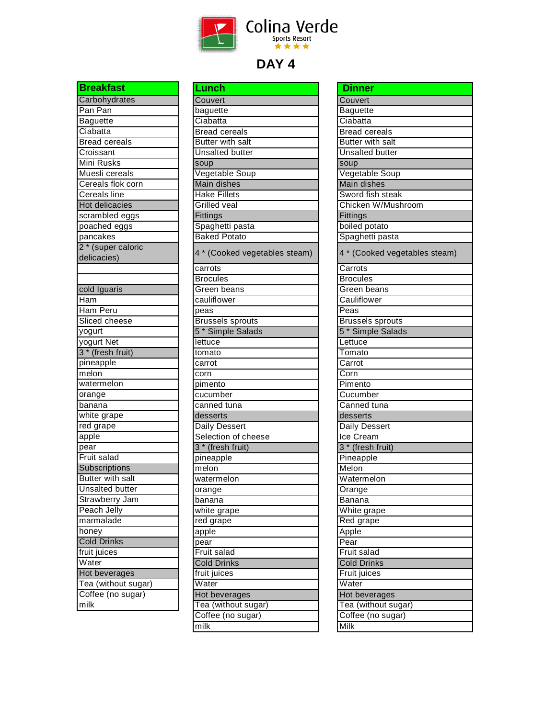

| Carbohydrates             |
|---------------------------|
| Pan Pan                   |
| <b>Baguette</b>           |
| Ciabatta                  |
| <b>Bread cereals</b>      |
| Croissant                 |
| Mini Rusks                |
| Muesli cereals            |
| Cereals flok corn         |
| <b>Cereals line</b>       |
| Hot delicacies            |
| scrambled eggs            |
| poached eggs              |
| pancakes                  |
| 2 * (super caloric        |
| delicacies)               |
|                           |
|                           |
| cold Iguaris              |
| Ham                       |
| Ham Peru                  |
| Sliced cheese             |
| yogurt                    |
| yogurt Net                |
| 3 * (fresh fruit)         |
| pineapple                 |
| melon                     |
| watermelon                |
| orange                    |
|                           |
| banana                    |
| white grape               |
| red grape                 |
| apple                     |
| pear                      |
| Fruit salad               |
| Subscriptions             |
| <b>Butter with salt</b>   |
| <b>Unsalted butter</b>    |
| Strawberry Jam            |
| Peach Jelly               |
| marmalade                 |
| honey                     |
| <b>Cold Drinks</b>        |
| fruit juices              |
| Water                     |
| Hot beverages             |
| Tea (without sugar)       |
| Coffee (no sugar)<br>milk |

| <u>Lunch</u>                  |
|-------------------------------|
| Couvert                       |
| baguette                      |
| Ciabatta                      |
| <b>Bread cereals</b>          |
| <b>Butter with salt</b>       |
| <b>Unsalted butter</b>        |
| soup                          |
| Vegetable Soup                |
| Main dishes                   |
| <b>Hake Fillets</b>           |
| Grilled veal                  |
| Fittings                      |
| Spaghetti pasta               |
| <b>Baked Potato</b>           |
|                               |
| 4 * (Cooked vegetables steam) |
| carrots                       |
| <b>Brocules</b>               |
| Green beans                   |
| cauliflower                   |
| peas                          |
| <b>Brussels</b> sprouts       |
| 5 <sup>*</sup> Simple Salads  |
| lettuce                       |
| tomato                        |
| carrot                        |
| corn                          |
| pimento                       |
| cucumber                      |
| canned tuna                   |
| desserts                      |
| <b>Daily Dessert</b>          |
| Selection of cheese           |
| 3 <sup>*</sup> (fresh fruit)  |
| pineapple                     |
| $m$ elon                      |
| watermelon                    |
| orange                        |
| banana                        |
| white grape                   |
| red grape                     |
| apple                         |
| pear                          |
| Fruit salad                   |
| <b>Cold Drinks</b>            |
| fruit juices                  |
| Water                         |
| <b>Hot beverages</b>          |
| Tea (without sugar)           |
| Coffee (no sugar)             |
| $\overline{\mathsf{milk}}$    |
|                               |

| <b>Dinner</b>                 |
|-------------------------------|
| Couvert                       |
| <b>Baguette</b>               |
| Ciabatta                      |
| <b>Bread cereals</b>          |
| Butter with salt              |
| <b>Unsalted butter</b>        |
| soup                          |
| Vegetable Soup                |
| <b>Main dishes</b>            |
| Sword fish steak              |
| Chicken W/Mushroom            |
| Fittings                      |
| boiled potato                 |
| Spaghetti pasta               |
| 4 * (Cooked vegetables steam) |
| Carrots                       |
| <b>Brocules</b>               |
| Green beans                   |
| Cauliflower                   |
| Peas                          |
| <b>Brussels sprouts</b>       |
| 5 <sup>*</sup> Simple Salads  |
| Lettuce                       |
| Tomato                        |
| Carrot                        |
| Corn                          |
| Pimento                       |
| Cucumber                      |
| Canned tuna                   |
| desserts                      |
| Daily Dessert                 |
| Ice Cream                     |
| 3 * (fresh fruit)             |
| Pineapple                     |
| Melon                         |
| Watermelon                    |
| Orange                        |
| Banana                        |
| White grape                   |
| Red grape                     |
| Apple                         |
| Pear                          |
| <b>Fruit salad</b>            |
| <b>Cold Drinks</b>            |
| Fruit juices                  |
| Water                         |
| Hot beverages                 |
| Tea (without sugar)           |
| Coffee (no sugar)             |
| Milk                          |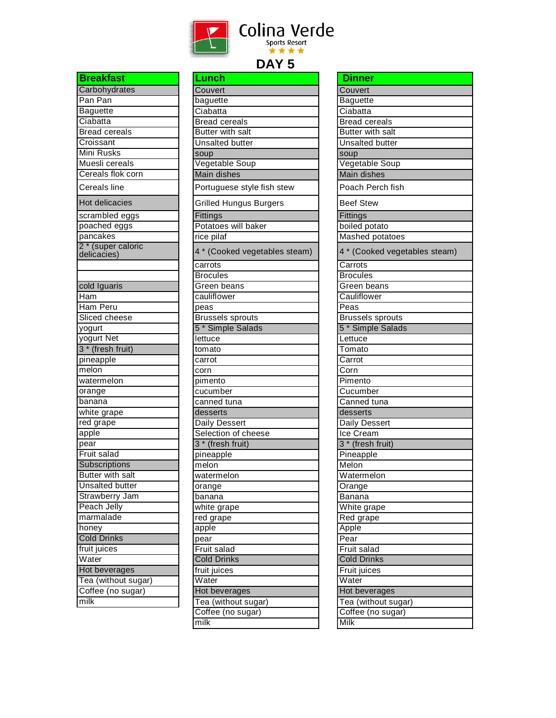

| <b>Breakfast</b>              |
|-------------------------------|
| Carbohydrates                 |
| Pan Pan                       |
| <b>Baguette</b>               |
| Ciabatta                      |
| <b>Bread cereals</b>          |
| Croissant                     |
| Mini Rusks                    |
| Muesli cereals                |
| Cereals flok corn             |
| Cereals line                  |
| <b>Hot delicacies</b>         |
| scrambled eggs                |
| poached eggs                  |
| pancakes                      |
| 2 <sup>*</sup> (super caloric |
| delicacies)                   |
|                               |
|                               |
| cold Iguaris                  |
| Ham                           |
| Ham Peru                      |
| Sliced cheese                 |
| yogurt                        |
| yogurt Net                    |
| 3 <sup>*</sup> (fresh fruit)  |
| pineapple                     |
| melon                         |
| watermelon                    |
| orange                        |
| banana                        |
| white grape                   |
| red grape                     |
| apple                         |
| pear                          |
| Fruit salad                   |
| Subscriptions                 |
| <b>Butter with salt</b>       |
| <b>Unsalted butter</b>        |
| Strawberry Jam                |
| Peach Jelly                   |
| marmalade                     |
| honey                         |
| <b>Cold Drinks</b>            |
| fruit juices                  |
| Water                         |
| Hot beverages                 |
|                               |
| Tea (without sugar)           |
| Coffee (no sugar)             |
| milk                          |

| Lunch                         |
|-------------------------------|
| Couvert                       |
| baguette                      |
| Ciabatta                      |
| <b>Bread cereals</b>          |
| <b>Butter with salt</b>       |
| <b>Unsalted butter</b>        |
| soup                          |
| Vegetable Soup                |
| Main dishes                   |
| Portuguese style fish stew    |
| <b>Grilled Hungus Burgers</b> |
| Fittings                      |
| Potatoes will baker           |
| rice pilaf                    |
| 4 * (Cooked vegetables steam) |
| carrots                       |
| <b>Brocules</b>               |
| <b>Green</b> beans            |
| cauliflower                   |
| peas                          |
| <b>Brussels sprouts</b>       |
| 5 <sup>*</sup> Simple Salads  |
| lettuce                       |
| tomato                        |
| carrot                        |
| corn                          |
| pimento                       |
| cucumber                      |
| canned tuna                   |
| desserts                      |
| Daily Dessert                 |
| Selection of cheese           |
| 3 * (fresh fruit)             |
| pineapple                     |
| $m$ elon                      |
| watermelon                    |
| orange                        |
| banana                        |
| white grape                   |
| red grape                     |
| apple                         |
| pear                          |
| Fruit salad                   |
| <b>Cold Drinks</b>            |
| fruit juices                  |
| Water                         |
| Hot beverages                 |
| Tea (without sugar)           |
| Coffee (no sugar)             |
| milk                          |
|                               |

| Dinner                        |
|-------------------------------|
| Couvert                       |
| <b>Baguette</b>               |
| Ciabatta                      |
| <b>Bread cereals</b>          |
| <b>Butter with salt</b>       |
| <b>Unsalted butter</b>        |
| soup                          |
| Vegetable Soup                |
| <b>Main dishes</b>            |
| Poach Perch fish              |
| <b>Beef Stew</b>              |
| Fittings                      |
| boiled potato                 |
| Mashed potatoes               |
| 4 * (Cooked vegetables steam) |
| Carrots                       |
| <b>Brocules</b>               |
| Green beans                   |
| Cauliflower                   |
| Peas                          |
| <b>Brussels sprouts</b>       |
| 5 <sup>*</sup> Simple Salads  |
| Lettuce                       |
| Tomato                        |
| Carrot                        |
| Corn                          |
| Pimento                       |
| Cucumber                      |
| Canned tuna                   |
| desserts                      |
| Daily Dessert                 |
| Ice Cream                     |
| 3 <sup>*</sup> (fresh fruit)  |
| Pineapple                     |
| Melon                         |
| Watermelon                    |
| Orange                        |
| Banana                        |
| White grape                   |
| Red grape                     |
| Apple                         |
| Pear                          |
| <b>Fruit salad</b>            |
| <b>Cold Drinks</b>            |
| Fruit juices                  |
| Water                         |
| Hot beverages                 |
| Tea (without sugar)           |
| Coffee (no sugar)             |
| Milk                          |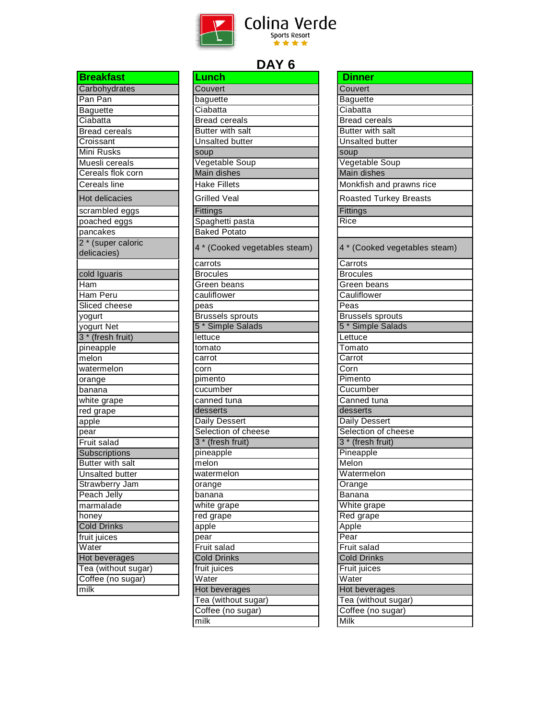

| <b>Breakfast</b>             |
|------------------------------|
| Carbohydrates                |
| Pan Pan                      |
| <b>Baguette</b>              |
| Ciabatta                     |
| <b>Bread cereals</b>         |
| Croissant                    |
| <b>Mini Rusks</b>            |
| Muesli cereals               |
| Cereals flok corn            |
| Cereals line                 |
| <b>Hot delicacies</b>        |
| scrambled eggs               |
| poached eggs                 |
|                              |
| pancakes                     |
| 2 * (super caloric           |
| delicacies)                  |
| cold Iguaris                 |
| Ham                          |
| Ham Peru                     |
| Sliced cheese                |
|                              |
| yogurt                       |
| yogurt Net                   |
| 3 <sup>*</sup> (fresh fruit) |
| pineapple                    |
| $m$ elon                     |
| watermelon                   |
| orange                       |
| banana                       |
| white grape                  |
| red grape                    |
| apple                        |
| pear                         |
| Fruit salad                  |
| Subscriptions                |
| <b>Butter with salt</b>      |
| <b>Unsalted butter</b>       |
| Strawberry Jam               |
| Peach Jelly                  |
| marmalade                    |
| honey                        |
| <b>Cold Drinks</b>           |
| fruit juices                 |
| Water                        |
| Hot beverages                |
| Tea (without sugar)          |
| Coffee (no sugar)            |
| milk                         |
|                              |

| <b>Lunch</b>                  |
|-------------------------------|
| Couvert                       |
| baguette                      |
| Ciabatta                      |
| <b>Bread cereals</b>          |
| <b>Butter with salt</b>       |
| <b>Unsalted butter</b>        |
| soup                          |
| Vegetable Soup                |
| Main dishes                   |
| <b>Hake Fillets</b>           |
| <b>Grilled Veal</b>           |
| Fittings                      |
| Spaghetti pasta               |
| <b>Baked Potato</b>           |
| 4 * (Cooked vegetables steam) |
| carrots                       |
| <b>Brocules</b>               |
| Green beans                   |
| cauliflower                   |
| peas                          |
| <b>Brussels sprouts</b>       |
| 5 <sup>*</sup> Simple Salads  |
| lettuce                       |
| tomato                        |
| carrot                        |
| corn                          |
| pimento                       |
| cucumber                      |
| canned tuna                   |
| desserts                      |
| Daily Dessert                 |
| Selection of cheese           |
| 3 <sup>*</sup> (fresh fruit)  |
| pineapple                     |
| melon                         |
| watermelon                    |
| orange                        |
| banana                        |
| white grape                   |
| red grape                     |
| apple                         |
| pear                          |
| Fruit salad                   |
| <b>Cold Drinks</b>            |
| fruit juices                  |
| Water                         |
| Hot beverages                 |
| Tea (without sugar)           |
| Coffee (no sugar)             |
| $\overline{\text{milk}}$      |
|                               |

| <b>Dinner</b>                                   |
|-------------------------------------------------|
| Couvert                                         |
| <b>Baguette</b>                                 |
| Ciabatta                                        |
| <b>Bread</b> cereals                            |
| <b>Butter with salt</b>                         |
| <b>Unsalted butter</b>                          |
| soup                                            |
| Vegetable Soup                                  |
| Main dishes                                     |
| $\overline{\mathsf{M}}$ onkfish and prawns rice |
| <b>Roasted Turkey Breasts</b>                   |
| Fittings                                        |
| Rice                                            |
|                                                 |
| 4 * (Cooked vegetables steam)                   |
| Carrots                                         |
| <b>Brocules</b>                                 |
| Green beans                                     |
| Cauliflower                                     |
| Peas                                            |
| <b>Brussels sprouts</b>                         |
| 5 <sup>*</sup> Simple Salads                    |
| Lettuce                                         |
| Tomato                                          |
| Carrot                                          |
| Corn                                            |
| Pimento                                         |
| Cucumber                                        |
| Canned tuna                                     |
| desserts                                        |
| Daily Dessert                                   |
| Selection of cheese                             |
| 3 <sup>*</sup> (fresh fruit)                    |
| Pineapple                                       |
| Melon                                           |
| Watermelon                                      |
| Orange                                          |
| Banana                                          |
| $\overline{\mathsf{W}}$ hite grape              |
| Red grape                                       |
| Apple                                           |
| $\overline{\mathsf{Pear}}$                      |
| <b>Fruit salad</b>                              |
| <b>Cold Drinks</b>                              |
| Fruit juices                                    |
| Water                                           |
| Hot beverages                                   |
| Tea (without sugar)                             |
| Coffee (no sugar)                               |
| Milk                                            |